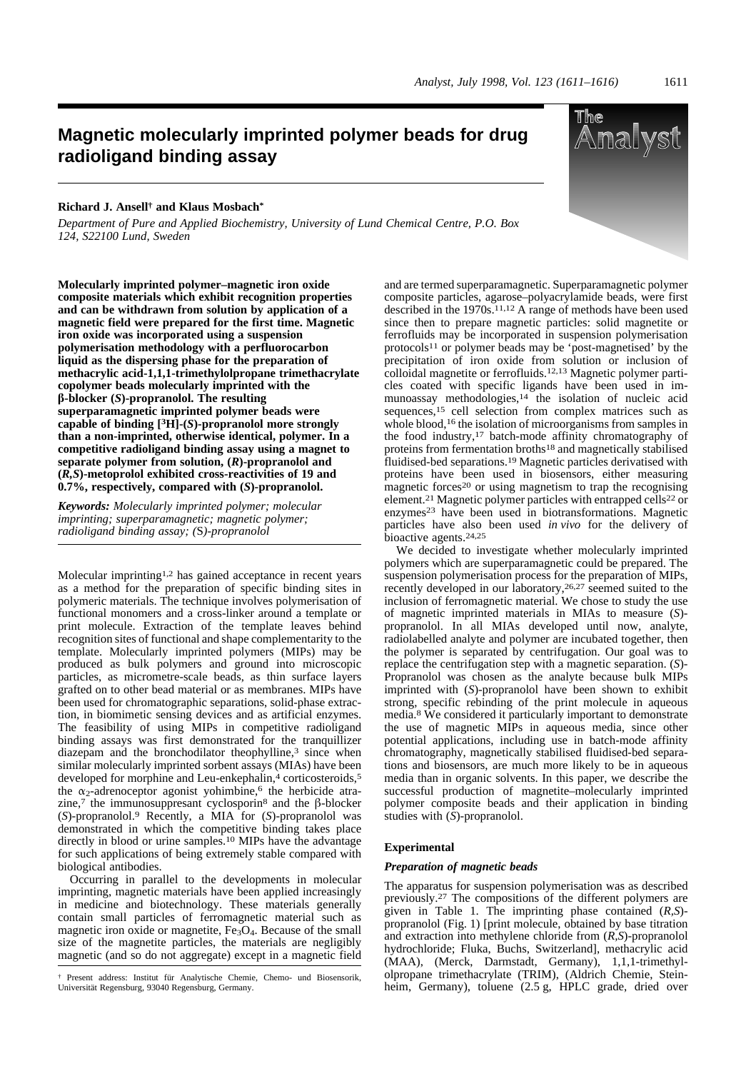# **Magnetic molecularly imprinted polymer beads for drug radioligand binding assay**

## **Richard J. Ansell† and Klaus Mosbach\***

*Department of Pure and Applied Biochemistry, University of Lund Chemical Centre, P.O. Box 124, S22100 Lund, Sweden*

**Molecularly imprinted polymer–magnetic iron oxide composite materials which exhibit recognition properties and can be withdrawn from solution by application of a magnetic field were prepared for the first time. Magnetic iron oxide was incorporated using a suspension polymerisation methodology with a perfluorocarbon liquid as the dispersing phase for the preparation of methacrylic acid-1,1,1-trimethylolpropane trimethacrylate copolymer beads molecularly imprinted with the** b**-blocker (***S***)-propranolol. The resulting superparamagnetic imprinted polymer beads were capable of binding [3H]-(***S***)-propranolol more strongly than a non-imprinted, otherwise identical, polymer. In a competitive radioligand binding assay using a magnet to separate polymer from solution, (***R***)-propranolol and (***R,S***)-metoprolol exhibited cross-reactivities of 19 and 0.7%, respectively, compared with (***S***)-propranolol.**

*Keywords: Molecularly imprinted polymer; molecular imprinting; superparamagnetic; magnetic polymer; radioligand binding assay; (*S*)-propranolol*

Molecular imprinting1,2 has gained acceptance in recent years as a method for the preparation of specific binding sites in polymeric materials. The technique involves polymerisation of functional monomers and a cross-linker around a template or print molecule. Extraction of the template leaves behind recognition sites of functional and shape complementarity to the template. Molecularly imprinted polymers (MIPs) may be produced as bulk polymers and ground into microscopic particles, as micrometre-scale beads, as thin surface layers grafted on to other bead material or as membranes. MIPs have been used for chromatographic separations, solid-phase extraction, in biomimetic sensing devices and as artificial enzymes. The feasibility of using MIPs in competitive radioligand binding assays was first demonstrated for the tranquillizer diazepam and the bronchodilator theophylline,<sup>3</sup> since when similar molecularly imprinted sorbent assays (MIAs) have been developed for morphine and Leu-enkephalin,<sup>4</sup> corticosteroids,<sup>5</sup> the  $\alpha_2$ -adrenoceptor agonist yohimbine,<sup>6</sup> the herbicide atrazine,7 the immunosuppresant cyclosporin<sup>8</sup> and the  $\beta$ -blocker (*S*)-propranolol.9 Recently, a MIA for (*S*)-propranolol was demonstrated in which the competitive binding takes place directly in blood or urine samples.10 MIPs have the advantage for such applications of being extremely stable compared with biological antibodies.

Occurring in parallel to the developments in molecular imprinting, magnetic materials have been applied increasingly in medicine and biotechnology. These materials generally contain small particles of ferromagnetic material such as magnetic iron oxide or magnetite,  $Fe<sub>3</sub>O<sub>4</sub>$ . Because of the small size of the magnetite particles, the materials are negligibly magnetic (and so do not aggregate) except in a magnetic field

and are termed superparamagnetic. Superparamagnetic polymer composite particles, agarose–polyacrylamide beads, were first described in the 1970s.11,12 A range of methods have been used since then to prepare magnetic particles: solid magnetite or ferrofluids may be incorporated in suspension polymerisation protocols11 or polymer beads may be 'post-magnetised' by the precipitation of iron oxide from solution or inclusion of colloidal magnetite or ferrofluids.12,13 Magnetic polymer particles coated with specific ligands have been used in immunoassay methodologies,14 the isolation of nucleic acid sequences,<sup>15</sup> cell selection from complex matrices such as whole blood,<sup>16</sup> the isolation of microorganisms from samples in the food industry,17 batch-mode affinity chromatography of proteins from fermentation broths18 and magnetically stabilised fluidised-bed separations.19 Magnetic particles derivatised with proteins have been used in biosensors, either measuring magnetic forces<sup>20</sup> or using magnetism to trap the recognising element.21 Magnetic polymer particles with entrapped cells22 or enzymes<sup>23</sup> have been used in biotransformations. Magnetic particles have also been used *in vivo* for the delivery of bioactive agents.24,25

We decided to investigate whether molecularly imprinted polymers which are superparamagnetic could be prepared. The suspension polymerisation process for the preparation of MIPs, recently developed in our laboratory, 26,27 seemed suited to the inclusion of ferromagnetic material. We chose to study the use of magnetic imprinted materials in MIAs to measure (*S*) propranolol. In all MIAs developed until now, analyte, radiolabelled analyte and polymer are incubated together, then the polymer is separated by centrifugation. Our goal was to replace the centrifugation step with a magnetic separation. (*S*)- Propranolol was chosen as the analyte because bulk MIPs imprinted with (*S*)-propranolol have been shown to exhibit strong, specific rebinding of the print molecule in aqueous media.8 We considered it particularly important to demonstrate the use of magnetic MIPs in aqueous media, since other potential applications, including use in batch-mode affinity chromatography, magnetically stabilised fluidised-bed separations and biosensors, are much more likely to be in aqueous media than in organic solvents. In this paper, we describe the successful production of magnetite–molecularly imprinted polymer composite beads and their application in binding studies with (*S*)-propranolol.

#### **Experimental**

#### *Preparation of magnetic beads*

The apparatus for suspension polymerisation was as described previously.<sup>27</sup> The compositions of the different polymers are given in Table 1. The imprinting phase contained (*R,S*) propranolol (Fig. 1) [print molecule, obtained by base titration and extraction into methylene chloride from (*R,S*)-propranolol hydrochloride; Fluka, Buchs, Switzerland], methacrylic acid (MAA), (Merck, Darmstadt, Germany), 1,1,1-trimethylolpropane trimethacrylate (TRIM), (Aldrich Chemie, Steinheim, Germany), toluene (2.5 g, HPLC grade, dried over



<sup>†</sup> Present address: Institut für Analytische Chemie, Chemo- und Biosensorik, Universität Regensburg, 93040 Regensburg, Germany.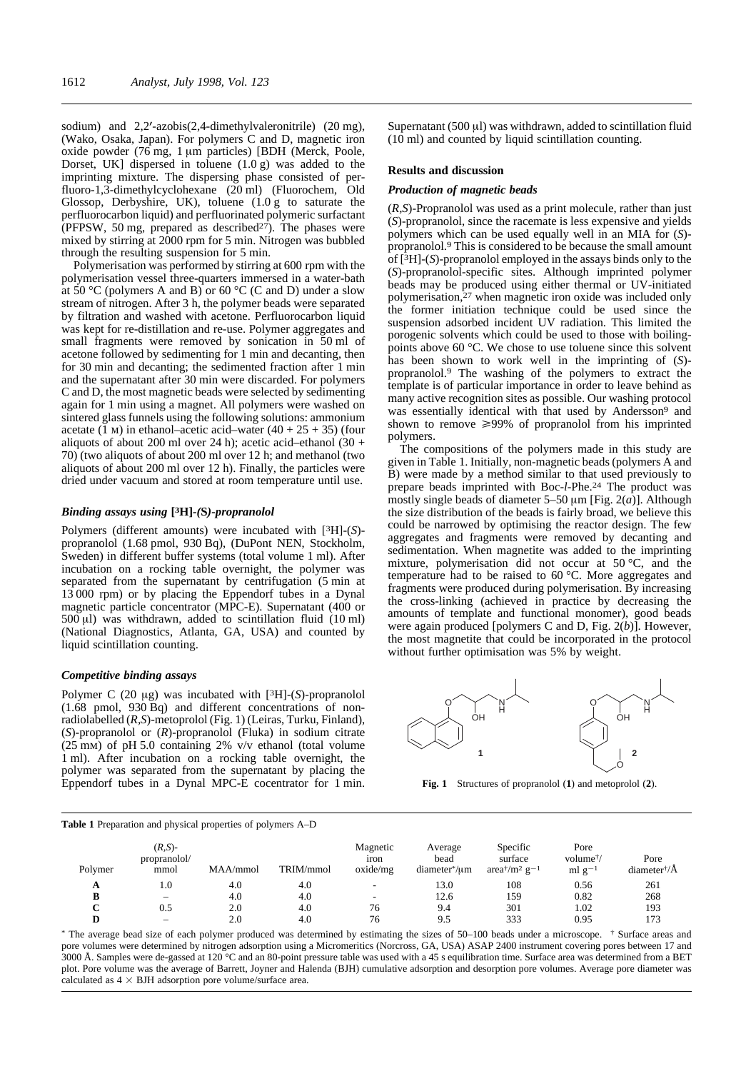sodium) and  $2,2'-azobis(2,4-dimethylvaleronitrile)$  (20 mg), (Wako, Osaka, Japan). For polymers C and D, magnetic iron oxide powder  $(76 \text{ mg}, 1 \mu \text{m} \text{ particles})$  [BDH (Merck, Poole, Dorset, UK] dispersed in toluene  $(1.0 \text{ g})$  was added to the imprinting mixture. The dispersing phase consisted of perfluoro-1,3-dimethylcyclohexane (20 ml) (Fluorochem, Old Glossop, Derbyshire, UK), toluene (1.0 g to saturate the perfluorocarbon liquid) and perfluorinated polymeric surfactant (PFPSW, 50 mg, prepared as described $2<sup>7</sup>$ ). The phases were mixed by stirring at 2000 rpm for 5 min. Nitrogen was bubbled through the resulting suspension for 5 min.

Polymerisation was performed by stirring at 600 rpm with the polymerisation vessel three-quarters immersed in a water-bath at  $50^{\circ}$ C (polymers A and B) or  $60^{\circ}$ C (C and D) under a slow stream of nitrogen. After 3 h, the polymer beads were separated by filtration and washed with acetone. Perfluorocarbon liquid was kept for re-distillation and re-use. Polymer aggregates and small fragments were removed by sonication in 50 ml of acetone followed by sedimenting for 1 min and decanting, then for 30 min and decanting; the sedimented fraction after 1 min and the supernatant after 30 min were discarded. For polymers C and D, the most magnetic beads were selected by sedimenting again for 1 min using a magnet. All polymers were washed on sintered glass funnels using the following solutions: ammonium acetate  $(1 \text{ m})$  in ethanol–acetic acid–water  $(40 + 25 + 35)$  (four aliquots of about 200 ml over 24 h); acetic acid–ethanol  $(30 +$ 70) (two aliquots of about 200 ml over 12 h; and methanol (two aliquots of about 200 ml over 12 h). Finally, the particles were dried under vacuum and stored at room temperature until use.

## *Binding assays using* **[3H]***-(***S***)-propranolol*

Polymers (different amounts) were incubated with [3H]-(*S*) propranolol (1.68 pmol, 930 Bq), (DuPont NEN, Stockholm, Sweden) in different buffer systems (total volume 1 ml). After incubation on a rocking table overnight, the polymer was separated from the supernatant by centrifugation (5 min at 13 000 rpm) or by placing the Eppendorf tubes in a Dynal magnetic particle concentrator (MPC-E). Supernatant (400 or  $500 \text{ }\mu\text{I}$ ) was withdrawn, added to scintillation fluid (10 ml) (National Diagnostics, Atlanta, GA, USA) and counted by liquid scintillation counting.

## *Competitive binding assays*

Polymer C (20  $\mu$ g) was incubated with [<sup>3</sup>H]-(*S*)-propranolol (1.68 pmol, 930 Bq) and different concentrations of nonradiolabelled (*R,S*)-metoprolol (Fig. 1) (Leiras, Turku, Finland), (*S*)-propranolol or (*R*)-propranolol (Fluka) in sodium citrate  $(25 \text{ mm})$  of pH 5.0 containing 2% v/v ethanol (total volume 1 ml). After incubation on a rocking table overnight, the polymer was separated from the supernatant by placing the Eppendorf tubes in a Dynal MPC-E cocentrator for 1 min.

**Table 1** Preparation and physical properties of polymers A–D

Supernatant  $(500 \mu l)$  was withdrawn, added to scintillation fluid  $(10 \text{ ml})$  and counted by liquid scintillation counting.

#### **Results and discussion**

## *Production of magnetic beads*

(*R,S*)-Propranolol was used as a print molecule, rather than just (*S*)-propranolol, since the racemate is less expensive and yields polymers which can be used equally well in an MIA for (*S*) propranolol.9 This is considered to be because the small amount of [3H]-(*S*)-propranolol employed in the assays binds only to the (*S*)-propranolol-specific sites. Although imprinted polymer beads may be produced using either thermal or UV-initiated polymerisation,<sup>27</sup> when magnetic iron oxide was included only the former initiation technique could be used since the suspension adsorbed incident UV radiation. This limited the porogenic solvents which could be used to those with boilingpoints above 60 °C. We chose to use toluene since this solvent has been shown to work well in the imprinting of (*S*) propranolol.9 The washing of the polymers to extract the template is of particular importance in order to leave behind as many active recognition sites as possible. Our washing protocol was essentially identical with that used by Andersson<sup>9</sup> and shown to remove  $\geq 99\%$  of propranolol from his imprinted polymers.

The compositions of the polymers made in this study are given in Table 1. Initially, non-magnetic beads (polymers A and B) were made by a method similar to that used previously to prepare beads imprinted with Boc-*l*-Phe.24 The product was mostly single beads of diameter 5–50  $\mu$ m [Fig. 2(*a*)]. Although the size distribution of the beads is fairly broad, we believe this could be narrowed by optimising the reactor design. The few aggregates and fragments were removed by decanting and sedimentation. When magnetite was added to the imprinting mixture, polymerisation did not occur at 50 °C, and the temperature had to be raised to 60 °C. More aggregates and fragments were produced during polymerisation. By increasing the cross-linking (achieved in practice by decreasing the amounts of template and functional monomer), good beads were again produced [polymers C and D, Fig. 2(*b*)]. However, the most magnetite that could be incorporated in the protocol without further optimisation was 5% by weight.



**Fig. 1** Structures of propranolol (**1**) and metoprolol (**2**).

| Polymer | $(R,S)$ -<br>propranolol/<br>mmol | MAA/mmol | TRIM/mmol | Magnetic<br>iron<br>oxide/mg | Average<br>bead<br>diameter*/um | Specific<br>surface<br>area <sup>†</sup> /m <sup>2</sup> g <sup>-1</sup> | Pore<br>volume <sup>†</sup> /<br>ml $g^{-1}$ | Pore<br>diameter $\sqrt[4]{A}$ |
|---------|-----------------------------------|----------|-----------|------------------------------|---------------------------------|--------------------------------------------------------------------------|----------------------------------------------|--------------------------------|
| A       | 1.0                               | 4.0      | 4.0       | $\overline{\phantom{0}}$     | 13.0                            | 108                                                                      | 0.56                                         | 261                            |
| в       |                                   | 4.0      | 4.0       |                              | 12.6                            | 159                                                                      | 0.82                                         | 268                            |
| С       | 0.5                               | 2.0      | 4.0       | 76                           | 9.4                             | 301                                                                      | 1.02                                         | 193                            |
|         |                                   | 2.0      | 4.0       | 76                           | 9.5                             | 333                                                                      | 0.95                                         | 173                            |

\* The average bead size of each polymer produced was determined by estimating the sizes of 50–100 beads under a microscope. † Surface areas and pore volumes were determined by nitrogen adsorption using a Micromeritics (Norcross, GA, USA) ASAP 2400 instrument covering pores between 17 and 3000 Å. Samples were de-gassed at 120 °C and an 80-point pressure table was used with a 45 s equilibration time. Surface area was determined from a BET plot. Pore volume was the average of Barrett, Joyner and Halenda (BJH) cumulative adsorption and desorption pore volumes. Average pore diameter was calculated as  $4 \times$  BJH adsorption pore volume/surface area.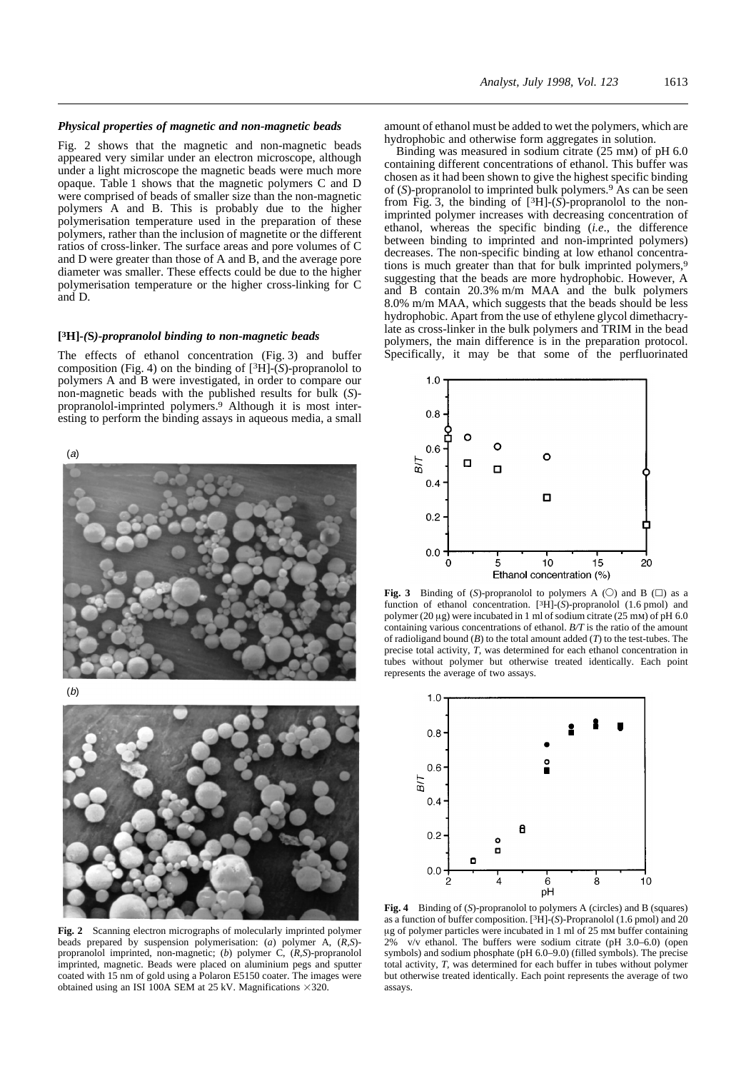#### *Physical properties of magnetic and non-magnetic beads*

Fig. 2 shows that the magnetic and non-magnetic beads appeared very similar under an electron microscope, although under a light microscope the magnetic beads were much more opaque. Table 1 shows that the magnetic polymers C and D were comprised of beads of smaller size than the non-magnetic polymers A and B. This is probably due to the higher polymerisation temperature used in the preparation of these polymers, rather than the inclusion of magnetite or the different ratios of cross-linker. The surface areas and pore volumes of C and D were greater than those of A and B, and the average pore diameter was smaller. These effects could be due to the higher polymerisation temperature or the higher cross-linking for C and D.

## **[3H]***-(***S***)-propranolol binding to non-magnetic beads*

The effects of ethanol concentration (Fig. 3) and buffer composition (Fig. 4) on the binding of [3H]-(*S*)-propranolol to polymers A and B were investigated, in order to compare our non-magnetic beads with the published results for bulk (*S*) propranolol-imprinted polymers.9 Although it is most interesting to perform the binding assays in aqueous media, a small

(a)







**Fig. 2** Scanning electron micrographs of molecularly imprinted polymer beads prepared by suspension polymerisation: (*a*) polymer A, (*R,S*) propranolol imprinted, non-magnetic; (*b*) polymer C, (*R,S*)-propranolol imprinted, magnetic. Beads were placed on aluminium pegs and sputter coated with 15 nm of gold using a Polaron E5150 coater. The images were obtained using an ISI 100A SEM at 25 kV. Magnifications  $\times$ 320.

amount of ethanol must be added to wet the polymers, which are hydrophobic and otherwise form aggregates in solution.

Binding was measured in sodium citrate (25 mm) of pH 6.0 containing different concentrations of ethanol. This buffer was chosen as it had been shown to give the highest specific binding of (*S*)-propranolol to imprinted bulk polymers.9 As can be seen from Fig. 3, the binding of [3H]-(*S*)-propranolol to the nonimprinted polymer increases with decreasing concentration of ethanol, whereas the specific binding (*i.e*., the difference between binding to imprinted and non-imprinted polymers) decreases. The non-specific binding at low ethanol concentrations is much greater than that for bulk imprinted polymers,<sup>9</sup> suggesting that the beads are more hydrophobic. However, A and B contain 20.3% m/m MAA and the bulk polymers 8.0% m/m MAA, which suggests that the beads should be less hydrophobic. Apart from the use of ethylene glycol dimethacrylate as cross-linker in the bulk polymers and TRIM in the bead polymers, the main difference is in the preparation protocol. Specifically, it may be that some of the perfluorinated



**Fig. 3** Binding of (S)-propranolol to polymers A ( $\bigcirc$ ) and B ( $\Box$ ) as a function of ethanol concentration. [3H]-(*S*)-propranolol (1.6 pmol) and polymer (20  $\mu$ g) were incubated in 1 ml of sodium citrate (25 mm) of pH 6.0 containing various concentrations of ethanol. *B/T* is the ratio of the amount of radioligand bound (*B*) to the total amount added (*T*) to the test-tubes. The precise total activity, *T*, was determined for each ethanol concentration in tubes without polymer but otherwise treated identically. Each point represents the average of two assays.



**Fig. 4** Binding of (*S*)-propranolol to polymers A (circles) and B (squares) as a function of buffer composition. [3H]-(*S*)-Propranolol (1.6 pmol) and 20 mg of polymer particles were incubated in 1 ml of 25 mm buffer containing 2% v/v ethanol. The buffers were sodium citrate (pH 3.0–6.0) (open symbols) and sodium phosphate (pH 6.0–9.0) (filled symbols). The precise total activity, *T*, was determined for each buffer in tubes without polymer but otherwise treated identically. Each point represents the average of two assays.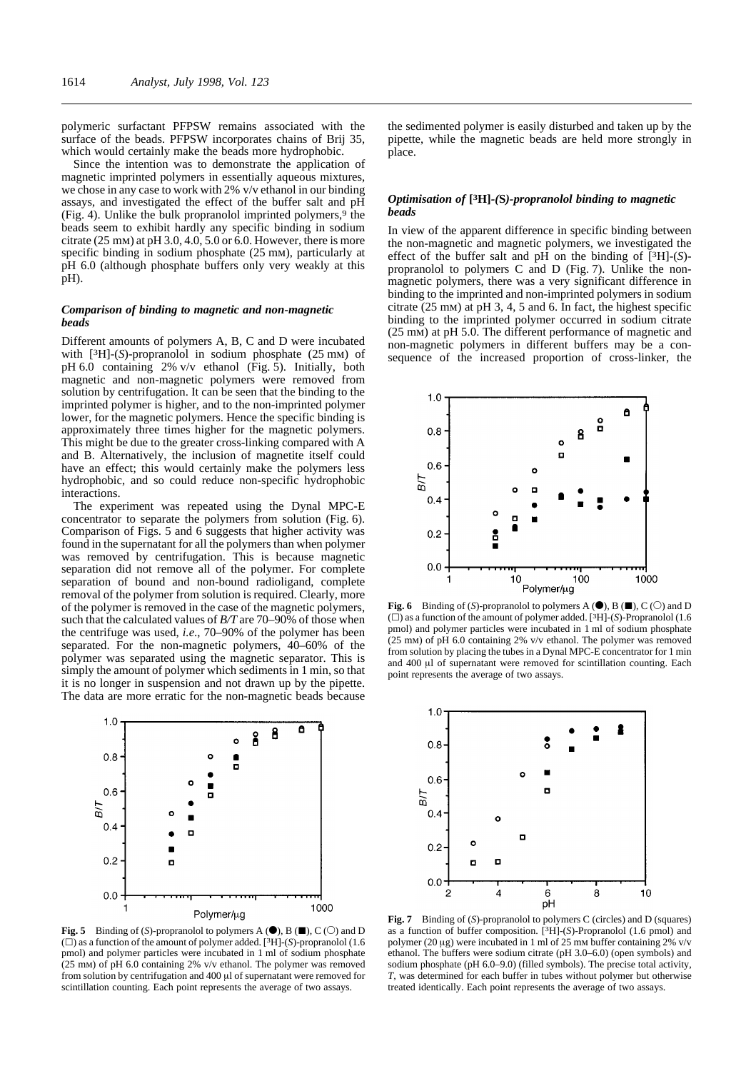polymeric surfactant PFPSW remains associated with the surface of the beads. PFPSW incorporates chains of Brij 35, which would certainly make the beads more hydrophobic.

Since the intention was to demonstrate the application of magnetic imprinted polymers in essentially aqueous mixtures, we chose in any case to work with 2% v/v ethanol in our binding assays, and investigated the effect of the buffer salt and pH (Fig. 4). Unlike the bulk propranolol imprinted polymers, $9$  the beads seem to exhibit hardly any specific binding in sodium citrate (25 mm) at pH 3.0, 4.0, 5.0 or 6.0. However, there is more specific binding in sodium phosphate (25 mm), particularly at pH 6.0 (although phosphate buffers only very weakly at this pH).

## *Comparison of binding to magnetic and non-magnetic beads*

Different amounts of polymers A, B, C and D were incubated with [3H]-(*S*)-propranolol in sodium phosphate (25 mm) of pH 6.0 containing 2% v/v ethanol (Fig. 5). Initially, both magnetic and non-magnetic polymers were removed from solution by centrifugation. It can be seen that the binding to the imprinted polymer is higher, and to the non-imprinted polymer lower, for the magnetic polymers. Hence the specific binding is approximately three times higher for the magnetic polymers. This might be due to the greater cross-linking compared with A and B. Alternatively, the inclusion of magnetite itself could have an effect; this would certainly make the polymers less hydrophobic, and so could reduce non-specific hydrophobic interactions.

The experiment was repeated using the Dynal MPC-E concentrator to separate the polymers from solution (Fig. 6). Comparison of Figs. 5 and 6 suggests that higher activity was found in the supernatant for all the polymers than when polymer was removed by centrifugation. This is because magnetic separation did not remove all of the polymer. For complete separation of bound and non-bound radioligand, complete removal of the polymer from solution is required. Clearly, more of the polymer is removed in the case of the magnetic polymers, such that the calculated values of *B/T* are 70–90% of those when the centrifuge was used, *i.e*., 70–90% of the polymer has been separated. For the non-magnetic polymers, 40–60% of the polymer was separated using the magnetic separator. This is simply the amount of polymer which sediments in 1 min, so that it is no longer in suspension and not drawn up by the pipette. The data are more erratic for the non-magnetic beads because



**Fig. 5** Binding of (*S*)-propranolol to polymers A  $(\bullet)$ , B  $(\blacksquare)$ , C ( $\bigcirc$ ) and D  $(\square)$  as a function of the amount of polymer added. [<sup>3</sup>H]-(*S*)-propranolol (1.6 pmol) and polymer particles were incubated in 1 ml of sodium phosphate (25 mm) of pH 6.0 containing 2% v/v ethanol. The polymer was removed from solution by centrifugation and  $400 \mu$ l of supernatant were removed for scintillation counting. Each point represents the average of two assays.

the sedimented polymer is easily disturbed and taken up by the pipette, while the magnetic beads are held more strongly in place.

## *Optimisation of* **[3H]***-(***S***)-propranolol binding to magnetic beads*

In view of the apparent difference in specific binding between the non-magnetic and magnetic polymers, we investigated the effect of the buffer salt and pH on the binding of [3H]-(*S*) propranolol to polymers C and D (Fig. 7). Unlike the nonmagnetic polymers, there was a very significant difference in binding to the imprinted and non-imprinted polymers in sodium citrate (25 mm) at pH 3, 4, 5 and 6. In fact, the highest specific binding to the imprinted polymer occurred in sodium citrate (25 mm) at pH 5.0. The different performance of magnetic and non-magnetic polymers in different buffers may be a consequence of the increased proportion of cross-linker, the



**Fig. 6** Binding of (*S*)-propranolol to polymers A  $(\bullet)$ , B  $(\blacksquare)$ , C ( $\bigcirc$ ) and D  $(\square)$  as a function of the amount of polymer added. [<sup>3</sup>H]-(*S*)-Propranolol (1.6 pmol) and polymer particles were incubated in 1 ml of sodium phosphate (25 mm) of pH 6.0 containing 2% v/v ethanol. The polymer was removed from solution by placing the tubes in a Dynal MPC-E concentrator for 1 min and 400 ml of supernatant were removed for scintillation counting. Each point represents the average of two assays.



**Fig. 7** Binding of (*S*)-propranolol to polymers C (circles) and D (squares) as a function of buffer composition. [3H]-(*S*)-Propranolol (1.6 pmol) and polymer (20  $\mu$ g) were incubated in 1 ml of 25 mm buffer containing 2% v/v ethanol. The buffers were sodium citrate (pH 3.0–6.0) (open symbols) and sodium phosphate (pH 6.0–9.0) (filled symbols). The precise total activity, *T*, was determined for each buffer in tubes without polymer but otherwise treated identically. Each point represents the average of two assays.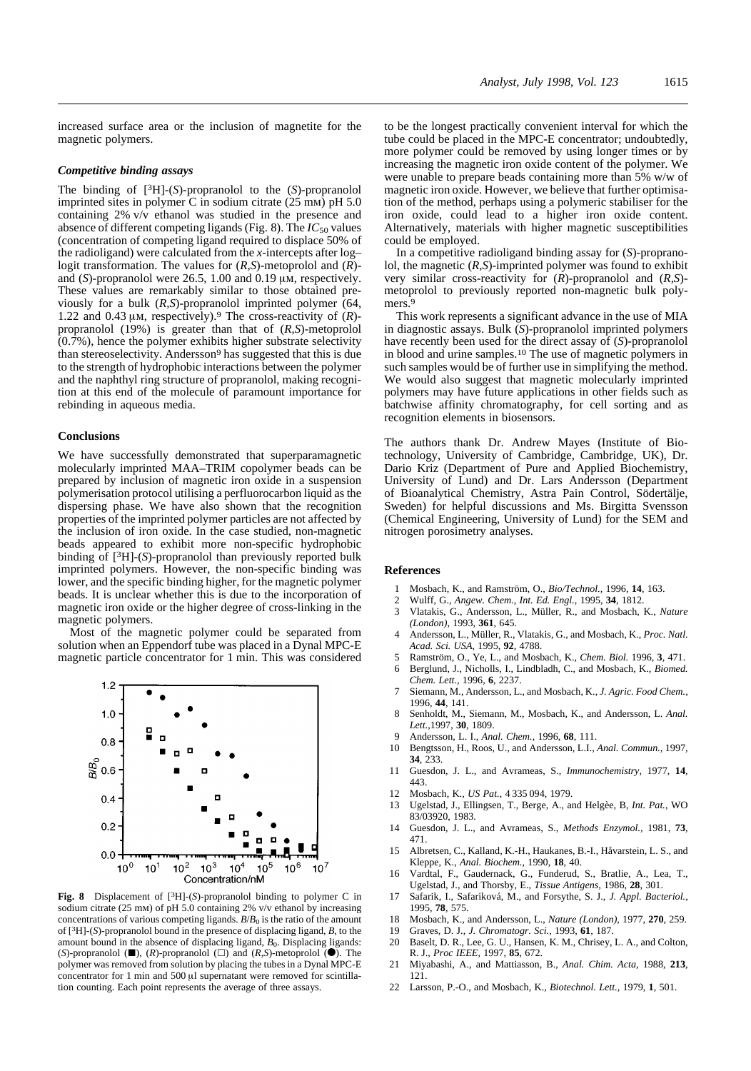increased surface area or the inclusion of magnetite for the magnetic polymers.

#### *Competitive binding assays*

The binding of [3H]-(*S*)-propranolol to the (*S*)-propranolol imprinted sites in polymer C in sodium citrate (25 mm) pH 5.0 containing 2% v/v ethanol was studied in the presence and absence of different competing ligands (Fig. 8). The  $IC_{50}$  values (concentration of competing ligand required to displace 50% of the radioligand) were calculated from the *x*-intercepts after log– logit transformation. The values for (*R,S*)-metoprolol and (*R*) and  $(S)$ -propranolol were 26.5, 1.00 and 0.19  $\mu$ m, respectively. These values are remarkably similar to those obtained previously for a bulk (*R,S*)-propranolol imprinted polymer (64, 1.22 and 0.43  $\mu$ m, respectively).<sup>9</sup> The cross-reactivity of (*R*)propranolol (19%) is greater than that of (*R,S*)-metoprolol  $(0.7\%)$ , hence the polymer exhibits higher substrate selectivity than stereoselectivity. Andersson9 has suggested that this is due to the strength of hydrophobic interactions between the polymer and the naphthyl ring structure of propranolol, making recognition at this end of the molecule of paramount importance for rebinding in aqueous media.

## **Conclusions**

We have successfully demonstrated that superparamagnetic molecularly imprinted MAA–TRIM copolymer beads can be prepared by inclusion of magnetic iron oxide in a suspension polymerisation protocol utilising a perfluorocarbon liquid as the dispersing phase. We have also shown that the recognition properties of the imprinted polymer particles are not affected by the inclusion of iron oxide. In the case studied, non-magnetic beads appeared to exhibit more non-specific hydrophobic binding of [3H]-(*S*)-propranolol than previously reported bulk imprinted polymers. However, the non-specific binding was lower, and the specific binding higher, for the magnetic polymer beads. It is unclear whether this is due to the incorporation of magnetic iron oxide or the higher degree of cross-linking in the magnetic polymers.

Most of the magnetic polymer could be separated from solution when an Eppendorf tube was placed in a Dynal MPC-E magnetic particle concentrator for 1 min. This was considered



**Fig. 8** Displacement of [3H]-(*S*)-propranolol binding to polymer C in sodium citrate (25 mm) of pH 5.0 containing 2% v/v ethanol by increasing concentrations of various competing ligands. *B*/*B*<sup>0</sup> is the ratio of the amount of [3H]-(*S*)-propranolol bound in the presence of displacing ligand, *B*, to the amount bound in the absence of displacing ligand,  $B_0$ . Displacing ligands: (*S*)-propranolol ( $\blacksquare$ ), (*R*)-propranolol ( $\Box$ ) and (*R,S*)-metoprolol ( $\bigodot$ ). The polymer was removed from solution by placing the tubes in a Dynal MPC-E concentrator for 1 min and 500  $\mu$ l supernatant were removed for scintillation counting. Each point represents the average of three assays.

to be the longest practically convenient interval for which the tube could be placed in the MPC-E concentrator; undoubtedly, more polymer could be removed by using longer times or by increasing the magnetic iron oxide content of the polymer. We were unable to prepare beads containing more than 5% w/w of magnetic iron oxide. However, we believe that further optimisation of the method, perhaps using a polymeric stabiliser for the iron oxide, could lead to a higher iron oxide content. Alternatively, materials with higher magnetic susceptibilities could be employed.

In a competitive radioligand binding assay for (*S*)-propranolol, the magnetic (*R,S*)-imprinted polymer was found to exhibit very similar cross-reactivity for (*R*)-propranolol and (*R,S*) metoprolol to previously reported non-magnetic bulk polymers<sup>9</sup>

This work represents a significant advance in the use of MIA in diagnostic assays. Bulk (*S*)-propranolol imprinted polymers have recently been used for the direct assay of (*S*)-propranolol in blood and urine samples.10 The use of magnetic polymers in such samples would be of further use in simplifying the method. We would also suggest that magnetic molecularly imprinted polymers may have future applications in other fields such as batchwise affinity chromatography, for cell sorting and as recognition elements in biosensors.

The authors thank Dr. Andrew Mayes (Institute of Biotechnology, University of Cambridge, Cambridge, UK), Dr. Dario Kriz (Department of Pure and Applied Biochemistry, University of Lund) and Dr. Lars Andersson (Department of Bioanalytical Chemistry, Astra Pain Control, Södertälje, Sweden) for helpful discussions and Ms. Birgitta Svensson (Chemical Engineering, University of Lund) for the SEM and nitrogen porosimetry analyses.

## **References**

- 1 Mosbach, K., and Ramström, O., *Bio/Technol.,* 1996, **14**, 163.
- 2 Wulff, G., *Angew. Chem., Int. Ed. Engl.,* 1995, **34**, 1812.
- 3 Vlatakis, G., Andersson, L., Müller, R., and Mosbach, K., *Nature (London)*, 1993, **361**, 645.
- 4 Andersson, L., Müller, R., Vlatakis, G., and Mosbach, K., *Proc. Natl. Acad. Sci. USA,* 1995, **92**, 4788.
- 5 Ramström, O., Ye, L., and Mosbach, K., *Chem. Biol.* 1996, **3**, 471.
- 6 Berglund, J., Nicholls, I., Lindbladh, C., and Mosbach, K., *Biomed. Chem. Lett.,* 1996, **6**, 2237.
- 7 Siemann, M., Andersson, L., and Mosbach, K., *J. Agric. Food Chem.,* 1996, **44**, 141.
- 8 Senholdt, M., Siemann, M., Mosbach, K., and Andersson, L. *Anal. Lett.,*1997, **30**, 1809.
- 9 Andersson, L. I., *Anal. Chem.,* 1996, **68**, 111.
- 10 Bengtsson, H., Roos, U., and Andersson, L.I., *Anal. Commun.,* 1997, **34**, 233.
- 11 Guesdon, J. L., and Avrameas, S., *Immunochemistry,* 1977, **14**, 443.
- 12 Mosbach, K., *US Pat.*, 4 335 094, 1979.
- 13 Ugelstad, J., Ellingsen, T., Berge, A., and Helgèe, B, *Int. Pat.*, WO 83/03920, 1983.
- 14 Guesdon, J. L., and Avrameas, S., *Methods Enzymol.,* 1981, **73**, 471.
- 15 Albretsen, C., Kalland, K.-H., Haukanes, B.-I., Håvarstein, L. S., and Kleppe, K., *Anal. Biochem.,* 1990, **18**, 40.
- 16 Vardtal, F., Gaudernack, G., Funderud, S., Bratlie, A., Lea, T., Ugelstad, J., and Thorsby, E., *Tissue Antigens,* 1986, **28**, 301.
- 17 Safarik, I., Safariková, M., and Forsythe, S. J., *J. Appl. Bacteriol.*, 1995, **78**, 575.
- 18 Mosbach, K., and Andersson, L., *Nature (London),* 1977, **270**, 259.
- 19 Graves, D. J., *J. Chromatogr. Sci.,* 1993, **61**, 187.
- 20 Baselt, D. R., Lee, G. U., Hansen, K. M., Chrisey, L. A., and Colton, R. J., *Proc IEEE,* 1997, **85**, 672.
- 21 Miyabashi, A., and Mattiasson, B., *Anal. Chim. Acta,* 1988, **213**, 121.
- 22 Larsson, P.-O., and Mosbach, K., *Biotechnol. Lett.,* 1979, **1**, 501.